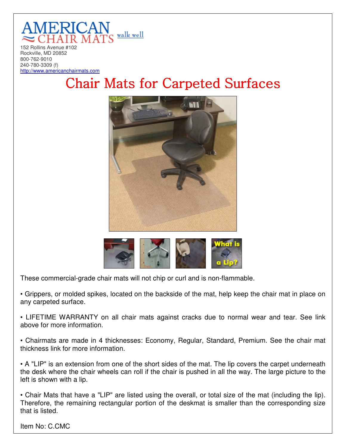

Rockville, MD 20852 800-762-9010 240-780-3309 (f) http://www.americanchairmats.com

## Chair Mats for Carpeted Surfaces





These commercial-grade chair mats will not chip or curl and is non-flammable.

• Grippers, or molded spikes, located on the backside of the mat, help keep the chair mat in place on any carpeted surface.

• LIFETIME WARRANTY on all chair mats against cracks due to normal wear and tear. See link above for more information.

• Chairmats are made in 4 thicknesses: Economy, Regular, Standard, Premium. See the chair mat thickness link for more information.

• A "LIP" is an extension from one of the short sides of the mat. The lip covers the carpet underneath the desk where the chair wheels can roll if the chair is pushed in all the way. The large picture to the left is shown with a lip.

• Chair Mats that have a "LIP" are listed using the overall, or total size of the mat (including the lip). Therefore, the remaining rectangular portion of the deskmat is smaller than the corresponding size that is listed.

Item No: C.CMC